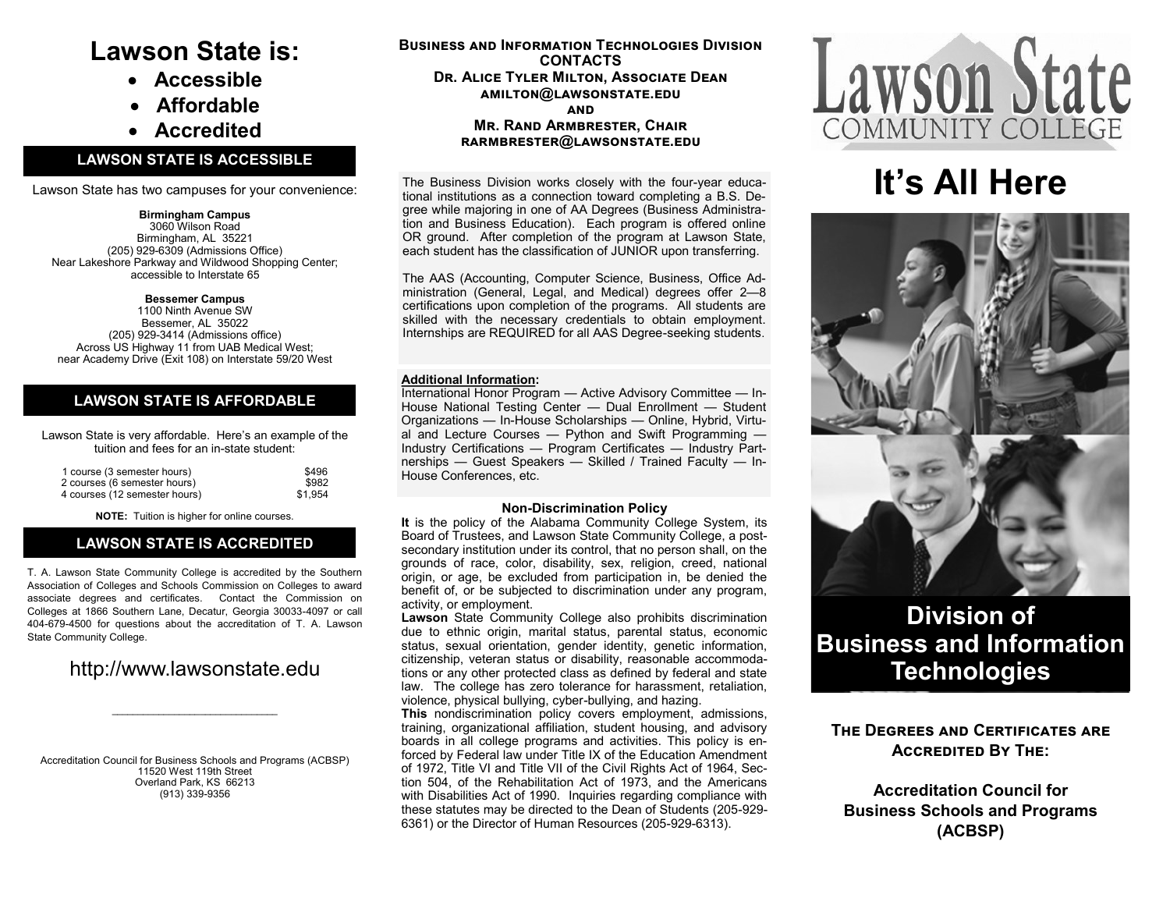# **Lawson State is:**

- **Accessible**
- **Affordable**
- **Accredited**

### **LAWSON STATE IS ACCESSIBLE**

Lawson State has two campuses for your convenience:

#### **Birmingham Campus** 3060 Wilson Road Birmingham, AL 35221 (205) 929-6309 (Admissions Office)

Near Lakeshore Parkway and Wildwood Shopping Center; accessible to Interstate 65

#### **Bessemer Campus**

1100 Ninth Avenue SW Bessemer, AL 35022 (205) 929-3414 (Admissions office) Across US Highway 11 from UAB Medical West; near Academy Drive (Exit 108) on Interstate 59/20 West

## **LAWSON STATE IS AFFORDABLE**

Lawson State is very affordable. Here's an example of the tuition and fees for an in-state student:

| 1 course (3 semester hours)   | \$496   |
|-------------------------------|---------|
| 2 courses (6 semester hours)  | \$982   |
| 4 courses (12 semester hours) | \$1.954 |

**NOTE:** Tuition is higher for online courses.

## **LAWSON STATE IS ACCREDITED**

T. A. Lawson State Community College is accredited by the Southern Association of Colleges and Schools Commission on Colleges to award associate degrees and certificates. Contact the Commission on Colleges at 1866 Southern Lane, Decatur, Georgia 30033-4097 or call 404-679-4500 for questions about the accreditation of T. A. Lawson State Community College.

# http://www.lawsonstate.edu

Accreditation Council for Business Schools and Programs (ACBSP) 11520 West 119th Street Overland Park, KS 66213 (913) 339-9356

**Business and Information Technologies Division CONTACTS Dr. Alice Tyler Milton, Associate Dean amilton@lawsonstate.edu and Mr. Rand Armbrester, Chair rarmbrester@lawsonstate.edu** 

The Business Division works closely with the four-year educational institutions as a connection toward completing a B.S. Degree while majoring in one of AA Degrees (Business Administration and Business Education). Each program is offered online OR ground. After completion of the program at Lawson State, each student has the classification of JUNIOR upon transferring.

The AAS (Accounting, Computer Science, Business, Office Administration (General, Legal, and Medical) degrees offer 2—8 certifications upon completion of the programs. All students are skilled with the necessary credentials to obtain employment. Internships are REQUIRED for all AAS Degree-seeking students.

#### **Additional Information:**

International Honor Program — Active Advisory Committee — In-House National Testing Center — Dual Enrollment — Student Organizations — In-House Scholarships — Online, Hybrid, Virtual and Lecture Courses — Python and Swift Programming — Industry Certifications — Program Certificates — Industry Partnerships — Guest Speakers — Skilled / Trained Faculty — In-House Conferences, etc.

#### **Non-Discrimination Policy**

**It** is the policy of the Alabama Community College System, its Board of Trustees, and Lawson State Community College, a postsecondary institution under its control, that no person shall, on the grounds of race, color, disability, sex, religion, creed, national origin, or age, be excluded from participation in, be denied the benefit of, or be subjected to discrimination under any program, activity, or employment.

**Lawson** State Community College also prohibits discrimination due to ethnic origin, marital status, parental status, economic status, sexual orientation, gender identity, genetic information, citizenship, veteran status or disability, reasonable accommodations or any other protected class as defined by federal and state law. The college has zero tolerance for harassment, retaliation, violence, physical bullying, cyber-bullying, and hazing.

**This** nondiscrimination policy covers employment, admissions, training, organizational affiliation, student housing, and advisory boards in all college programs and activities. This policy is enforced by Federal law under Title IX of the Education Amendment of 1972, Title VI and Title VII of the Civil Rights Act of 1964, Section 504, of the Rehabilitation Act of 1973, and the Americans with Disabilities Act of 1990. Inquiries regarding compliance with these statutes may be directed to the Dean of Students (205-929- 6361) or the Director of Human Resources (205-929-6313).



# **It's All Here**



# **Division of Business and Information Technologies**

# **The Degrees and Certificates are Accredited By The:**

**Accreditation Council for Business Schools and Programs (ACBSP)**